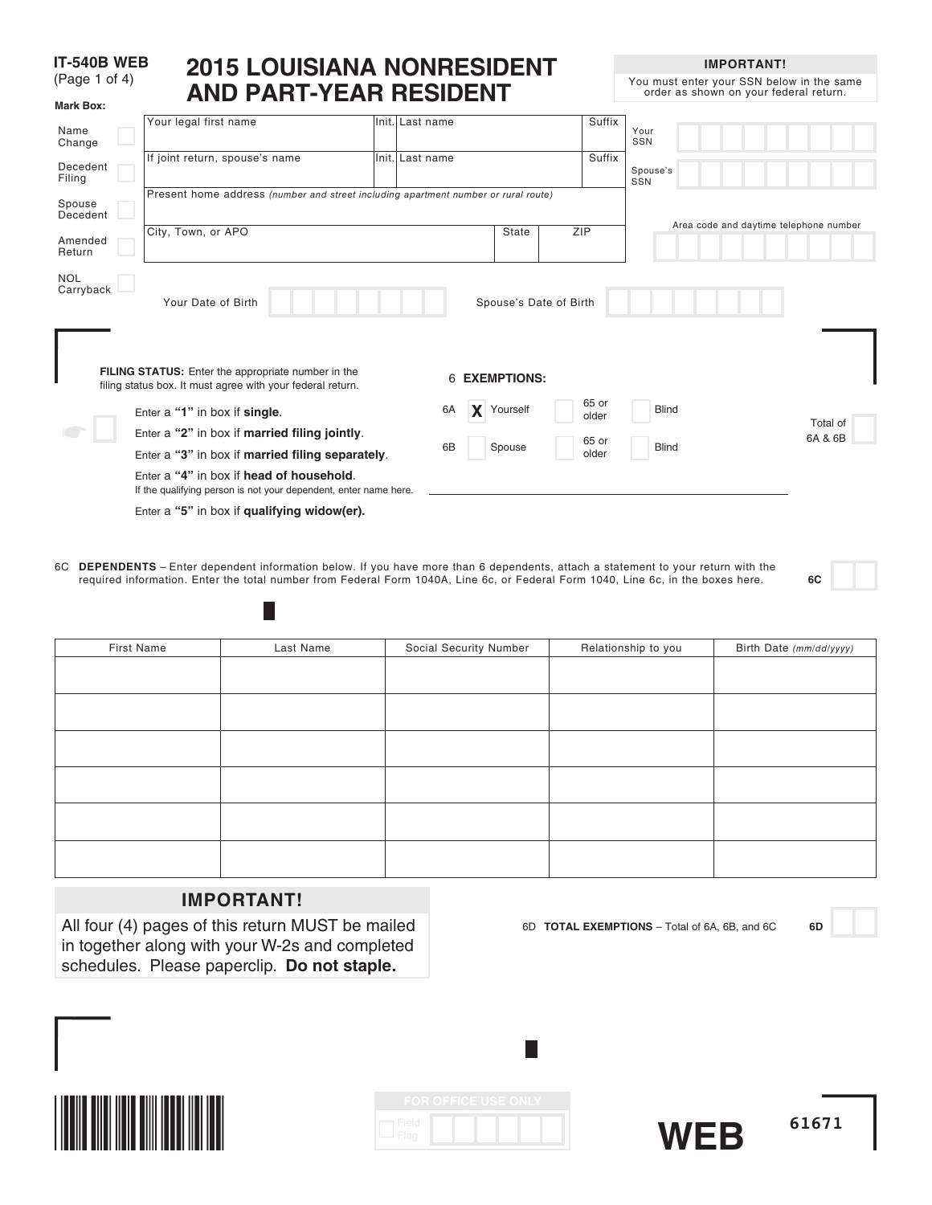#### **IT-540B WEB** (Page 1 of 4) **2015 LOUISIANA NONRESIDENT AND PART-YEAR RESIDENT**

**Mark Box:**

**IMPORTANT!**

You must enter your SSN below in the same order as shown on your federal return.

| Name<br>Change          | Your legal first name                                                                                        | Init. Last name |                        |     | Suffix         | Your<br>SSN                            |
|-------------------------|--------------------------------------------------------------------------------------------------------------|-----------------|------------------------|-----|----------------|----------------------------------------|
| Decedent<br>Filing      | If joint return, spouse's name                                                                               | Init. Last name |                        |     | Suffix         | Spouse's<br>SSN                        |
| Spouse<br>Decedent      | Present home address (number and street including apartment number or rural route)                           |                 |                        |     |                |                                        |
| Amended<br>Return       | City, Town, or APO                                                                                           |                 | State                  | ZIP |                | Area code and daytime telephone number |
| <b>NOL</b><br>Carryback | Your Date of Birth<br>FILING STATUS: Enter the appropriate number in the                                     | 6 EXEMPTIONS:   | Spouse's Date of Birth |     |                |                                        |
|                         | filing status box. It must agree with your federal return.<br>Enter a "1" in box if single.                  | 6A<br>X         | Yourself               |     | 65 or<br>older | <b>Blind</b>                           |
|                         | Enter a "2" in box if married filing jointly.                                                                |                 |                        |     | 65 or          | Total of<br>6A & 6B                    |
|                         | Enter a "3" in box if married filing separately.                                                             | 6B              | Spouse                 |     | older          | <b>Blind</b>                           |
|                         | Enter a "4" in box if head of household.<br>If the qualifying person is not your dependent, enter name here. |                 |                        |     |                |                                        |
|                         | Enter a "5" in box if qualifying widow(er).                                                                  |                 |                        |     |                |                                        |

6C **DEPENDENTS** – Enter dependent information below. If you have more than 6 dependents, attach a statement to your return with the required information. Enter the total number from Federal Form 1040A, Line 6c, or Federal Form 1040, Line 6c, in the boxes here. **6C**

| First Name | Last Name | Social Security Number | Relationship to you | Birth Date (mm/dd/yyyy) |
|------------|-----------|------------------------|---------------------|-------------------------|
|            |           |                        |                     |                         |
|            |           |                        |                     |                         |
|            |           |                        |                     |                         |
|            |           |                        |                     |                         |
|            |           |                        |                     |                         |
|            |           |                        |                     |                         |
|            |           |                        |                     |                         |
|            |           |                        |                     |                         |
|            |           |                        |                     |                         |
|            |           |                        |                     |                         |
|            |           |                        |                     |                         |
|            |           |                        |                     |                         |

# **IMPORTANT!**

 $\mathbb{R}^n$ 

All four (4) pages of this return MUST be mailed in together along with your W-2s and completed schedules. Please paperclip. **Do not staple.**



|               | <b>FOR OFFICE USE ONLY</b> |  |  |
|---------------|----------------------------|--|--|
| Field<br>Flag |                            |  |  |



6D **TOTAL EXEMPTIONS** – Total of 6A, 6B, and 6C **6D**

**61671**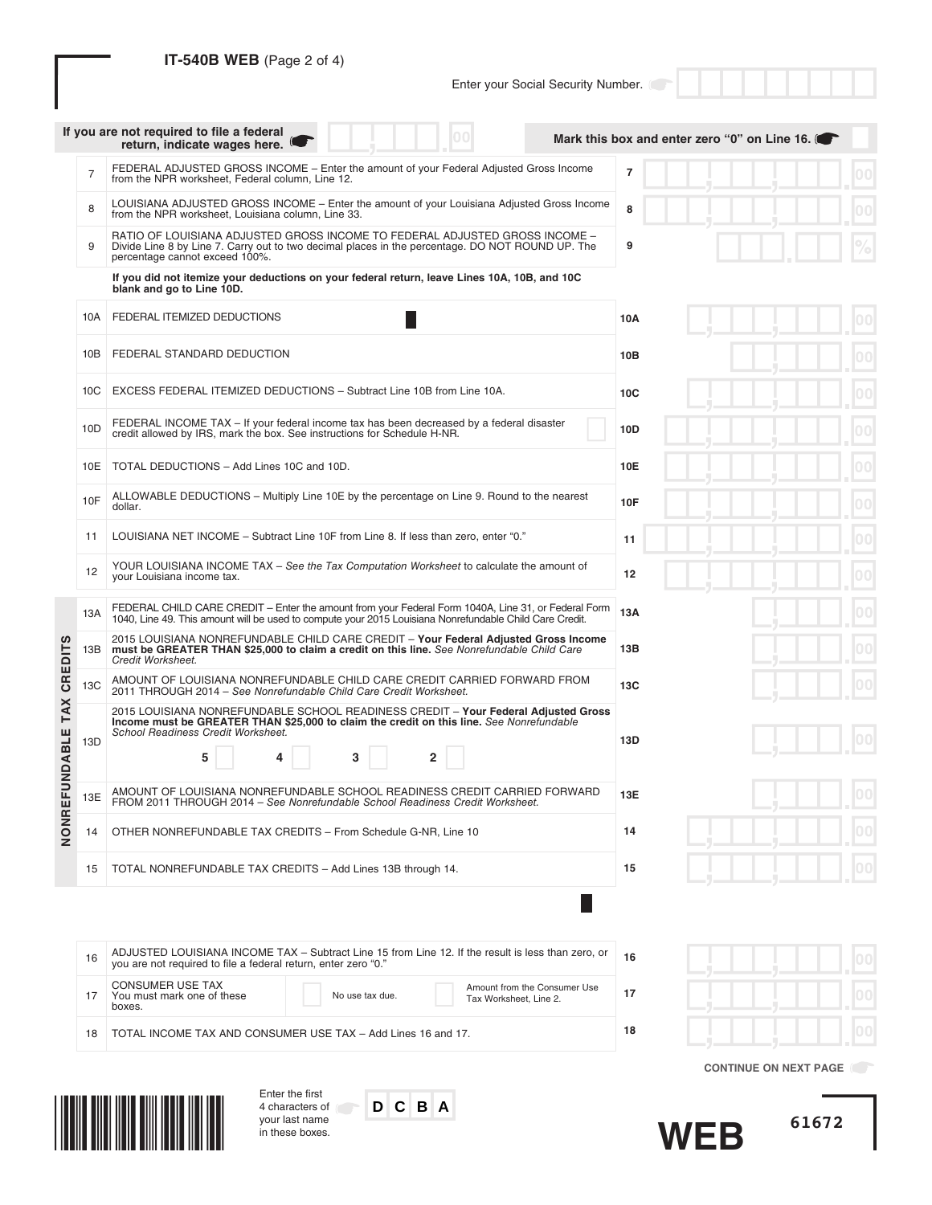## **IT-540B WEB** (Page 2 of 4)

# Enter your Social Security Number.

|                 |                | If you are not required to file a federal<br>return, indicate wages here.                                                                                                                                            | Mark this box and enter zero "0" on Line 16. |
|-----------------|----------------|----------------------------------------------------------------------------------------------------------------------------------------------------------------------------------------------------------------------|----------------------------------------------|
|                 | $\overline{7}$ | FEDERAL ADJUSTED GROSS INCOME - Enter the amount of your Federal Adjusted Gross Income<br>from the NPR worksheet, Federal column, Line 12.                                                                           | $\overline{7}$                               |
|                 | 8              | LOUISIANA ADJUSTED GROSS INCOME - Enter the amount of your Louisiana Adjusted Gross Income<br>from the NPR worksheet, Louisiana column, Line 33.                                                                     | 8                                            |
|                 | 9              | RATIO OF LOUISIANA ADJUSTED GROSS INCOME TO FEDERAL ADJUSTED GROSS INCOME -<br>Divide Line 8 by Line 7. Carry out to two decimal places in the percentage. DO NOT ROUND UP. The<br>percentage cannot exceed 100%.    | 9                                            |
|                 |                | If you did not itemize your deductions on your federal return, leave Lines 10A, 10B, and 10C<br>blank and go to Line 10D.                                                                                            |                                              |
|                 | 10A            | FEDERAL ITEMIZED DEDUCTIONS                                                                                                                                                                                          | 10A                                          |
|                 | 10B            | FEDERAL STANDARD DEDUCTION                                                                                                                                                                                           | 10B                                          |
|                 | 10C            | EXCESS FEDERAL ITEMIZED DEDUCTIONS - Subtract Line 10B from Line 10A.                                                                                                                                                | 10C                                          |
|                 | 10D            | FEDERAL INCOME TAX – If your federal income tax has been decreased by a federal disaster<br>credit allowed by IRS, mark the box. See instructions for Schedule H-NR.                                                 | 10D                                          |
|                 | 10E            | TOTAL DEDUCTIONS - Add Lines 10C and 10D.                                                                                                                                                                            | 00<br>10E                                    |
|                 | 10F            | ALLOWABLE DEDUCTIONS – Multiply Line 10E by the percentage on Line 9. Round to the nearest<br>dollar.                                                                                                                | <b>10F</b>                                   |
|                 | 11             | LOUISIANA NET INCOME - Subtract Line 10F from Line 8. If less than zero, enter "0."                                                                                                                                  | 11                                           |
|                 | 12             | YOUR LOUISIANA INCOME TAX - See the Tax Computation Worksheet to calculate the amount of<br>your Louisiana income tax.                                                                                               | 12<br>00                                     |
|                 | 13A            | FEDERAL CHILD CARE CREDIT - Enter the amount from your Federal Form 1040A, Line 31, or Federal Form<br>1040, Line 49. This amount will be used to compute your 2015 Louisiana Nonrefundable Child Care Credit.       | 13A                                          |
| ഗ               | 13B            | 2015 LOUISIANA NONREFUNDABLE CHILD CARE CREDIT - Your Federal Adjusted Gross Income<br>must be GREATER THAN \$25,000 to claim a credit on this line. See Nonrefundable Child Care<br>Credit Worksheet.               | 13B                                          |
| <b>CREDIT</b>   | 13C            | AMOUNT OF LOUISIANA NONREFUNDABLE CHILD CARE CREDIT CARRIED FORWARD FROM<br>2011 THROUGH 2014 - See Nonrefundable Child Care Credit Worksheet.                                                                       | 13C                                          |
| TAX             |                | 2015 LOUISIANA NONREFUNDABLE SCHOOL READINESS CREDIT - Your Federal Adjusted Gross<br>Income must be GREATER THAN \$25,000 to claim the credit on this line. See Nonrefundable<br>School Readiness Credit Worksheet. |                                              |
| <b>FUNDABLE</b> | 13D            | 5<br>$\mathbf{2}$<br>3                                                                                                                                                                                               | 13D                                          |
| ш               | 13E            | AMOUNT OF LOUISIANA NONREFUNDABLE SCHOOL READINESS CREDIT CARRIED FORWARD<br>FROM 2011 THROUGH 2014 - See Nonrefundable School Readiness Credit Worksheet.                                                           | 13E                                          |
| <b>NONR</b>     | 14             | OTHER NONREFUNDABLE TAX CREDITS - From Schedule G-NR, Line 10                                                                                                                                                        | 00<br>14                                     |
|                 | 15             | TOTAL NONREFUNDABLE TAX CREDITS - Add Lines 13B through 14.                                                                                                                                                          | 15                                           |

| 16 | ADJUSTED LOUISIANA INCOME TAX - Subtract Line 15 from Line 12. If the result is less than zero, or you are not required to file a federal return, enter zero "0." |                 |                                                        |    |
|----|-------------------------------------------------------------------------------------------------------------------------------------------------------------------|-----------------|--------------------------------------------------------|----|
| 17 | <b>CONSUMER USE TAX</b><br>You must mark one of these<br>boxes.                                                                                                   | No use tax due. | Amount from the Consumer Use<br>Tax Worksheet. Line 2. | 17 |
| 18 | TOTAL INCOME TAX AND CONSUMER USE TAX - Add Lines 16 and 17.                                                                                                      |                 |                                                        | 18 |



**CONTINUE ON NEXT PAGE**

**61672**



Enter the first 4 characters of your last name in these boxes.

**D C B A**

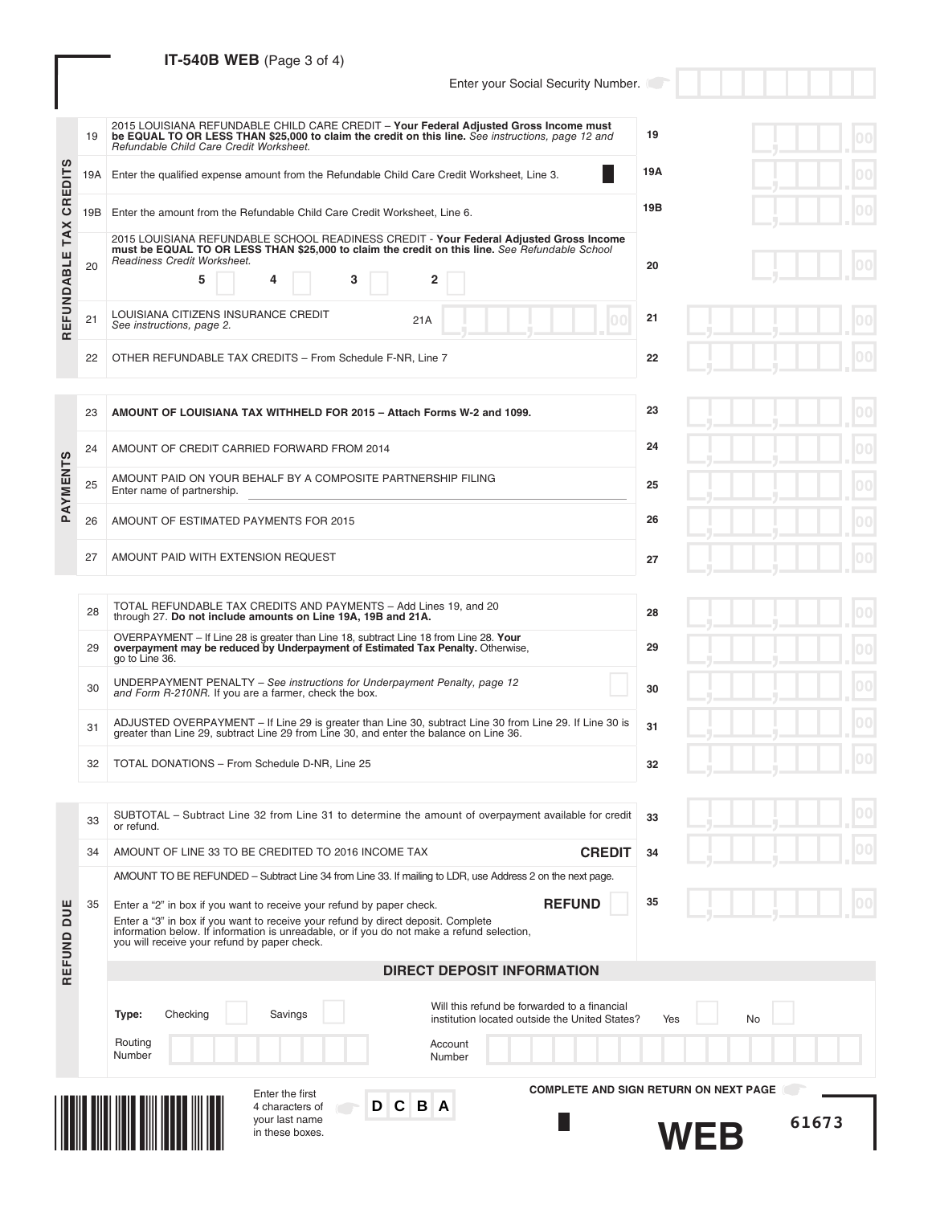# **IT-540B WEB** (Page 3 of 4)

Enter your Social Security Number.

|                                        | 19    | 2015 LOUISIANA REFUNDABLE CHILD CARE CREDIT - Your Federal Adjusted Gross Income must<br>be EQUAL TO OR LESS THAN \$25,000 to claim the credit on this line. See instructions, page 12 and<br>Refundable Child Care Credit Worksheet.       | 19  |  |  |  |  |  |  |
|----------------------------------------|-------|---------------------------------------------------------------------------------------------------------------------------------------------------------------------------------------------------------------------------------------------|-----|--|--|--|--|--|--|
| ഗ<br>╘<br>$\overline{\mathsf{d}}$<br>ш | 19A I | Enter the qualified expense amount from the Refundable Child Care Credit Worksheet, Line 3.                                                                                                                                                 | 19A |  |  |  |  |  |  |
| <b>GR</b>                              |       | 19B<br>19B Enter the amount from the Refundable Child Care Credit Worksheet, Line 6.                                                                                                                                                        |     |  |  |  |  |  |  |
| <b>TAX</b><br>EFUNDABLE                | 20    | 2015 LOUISIANA REFUNDABLE SCHOOL READINESS CREDIT - Your Federal Adjusted Gross Income<br>must be EQUAL TO OR LESS THAN \$25,000 to claim the credit on this line. See Refundable School<br>Readiness Credit Worksheet.<br>3<br>5<br>4<br>2 | 20  |  |  |  |  |  |  |
| $\sim$                                 | 21    | LOUISIANA CITIZENS INSURANCE CREDIT<br>21A<br>See instructions, page 2.                                                                                                                                                                     | 21  |  |  |  |  |  |  |
|                                        | 22    | OTHER REFUNDABLE TAX CREDITS - From Schedule F-NR, Line 7                                                                                                                                                                                   | 22  |  |  |  |  |  |  |
|                                        |       |                                                                                                                                                                                                                                             |     |  |  |  |  |  |  |

|         | 23 | AMOUNT OF LOUISIANA TAX WITHHELD FOR 2015 - Attach Forms W-2 and 1099.                     | 23 |
|---------|----|--------------------------------------------------------------------------------------------|----|
| ഗ       | 24 | AMOUNT OF CREDIT CARRIED FORWARD FROM 2014                                                 | 24 |
| PAYMENT | 25 | AMOUNT PAID ON YOUR BEHALF BY A COMPOSITE PARTNERSHIP FILING<br>Enter name of partnership. | 25 |
|         | 26 | AMOUNT OF ESTIMATED PAYMENTS FOR 2015                                                      | 26 |
|         | 27 | AMOUNT PAID WITH EXTENSION REQUEST                                                         | 27 |

| 28 | TOTAL REFUNDABLE TAX CREDITS AND PAYMENTS - Add Lines 19, and 20<br>through 27. Do not include amounts on Line 19A, 19B and 21A.                                                                  | 28 |
|----|---------------------------------------------------------------------------------------------------------------------------------------------------------------------------------------------------|----|
| 29 | OVERPAYMENT – If Line 28 is greater than Line 18, subtract Line 18 from Line 28. Your<br>overpayment may be reduced by Underpayment of Estimated Tax Penalty. Otherwise,<br>go to Line 36.        | 29 |
| 30 | UNDERPAYMENT PENALTY – See instructions for Underpayment Penalty, page 12<br>and Form R-210NR. If you are a farmer, check the box.                                                                | 30 |
| 31 | ADJUSTED OVERPAYMENT – If Line 29 is greater than Line 30, subtract Line 30 from Line 29. If Line 30 is<br>greater than Line 29, subtract Line 29 from Line 30, and enter the balance on Line 36. | 31 |
|    |                                                                                                                                                                                                   |    |

33 SUBTOTAL – Subtract Line 32 from Line 31 to determine the amount of overpayment available for credit

34 AMOUNT OF LINE 33 TO BE CREDITED TO 2016 INCOME TAX **CREDIT**

AMOUNT TO BE REFUNDED – Subtract Line 34 from Line 33. If mailing to LDR, use Address 2 on the next page.

32 TOTAL DONATIONS – From Schedule D-NR, Line 25

Enter a "2" in box if you want to receive your refund by paper check.

or refund.

35

DUE

|                   | 30 |  |
|-------------------|----|--|
| 29. If Line 30 is | 31 |  |
|                   | 32 |  |

**33**

**34**

**35**

**REFUND**

|  | п       |
|--|---------|
|  | 00<br>п |
|  | 00<br>г |
|  | 00<br>п |
|  | 00      |
|  |         |

|  |  | O C<br>m |
|--|--|----------|
|  |  | 00<br>m  |

|                                  |    |                                              | D C B A<br>4 characters of<br>your last name<br>in these boxes.                                                                                                                 |                                                                                                                     |                                              | <b>WFB</b>       | 61673 |
|----------------------------------|----|----------------------------------------------|---------------------------------------------------------------------------------------------------------------------------------------------------------------------------------|---------------------------------------------------------------------------------------------------------------------|----------------------------------------------|------------------|-------|
|                                  |    | Type:<br>Checking<br>Routing<br>Number       | Savings<br>Enter the first                                                                                                                                                      | Will this refund be forwarded to a financial<br>institution located outside the United States?<br>Account<br>Number | <b>COMPLETE AND SIGN RETURN ON NEXT PAGE</b> | <b>No</b><br>Yes |       |
| RE <sub>I</sub>                  |    |                                              |                                                                                                                                                                                 | <b>DIRECT DEPOSIT INFORMATION</b>                                                                                   |                                              |                  |       |
| <b>BUE</b><br>$\frac{0}{2}$<br>틽 |    | you will receive your refund by paper check. | Enter a "3" in box if you want to receive your refund by direct deposit. Complete<br>information below. If information is unreadable, or if you do not make a refund selection, |                                                                                                                     |                                              |                  |       |
|                                  | 35 |                                              | Enter a "2" in box if you want to receive your refund by paper check.                                                                                                           |                                                                                                                     | <b>REFUND</b><br>აა                          |                  |       |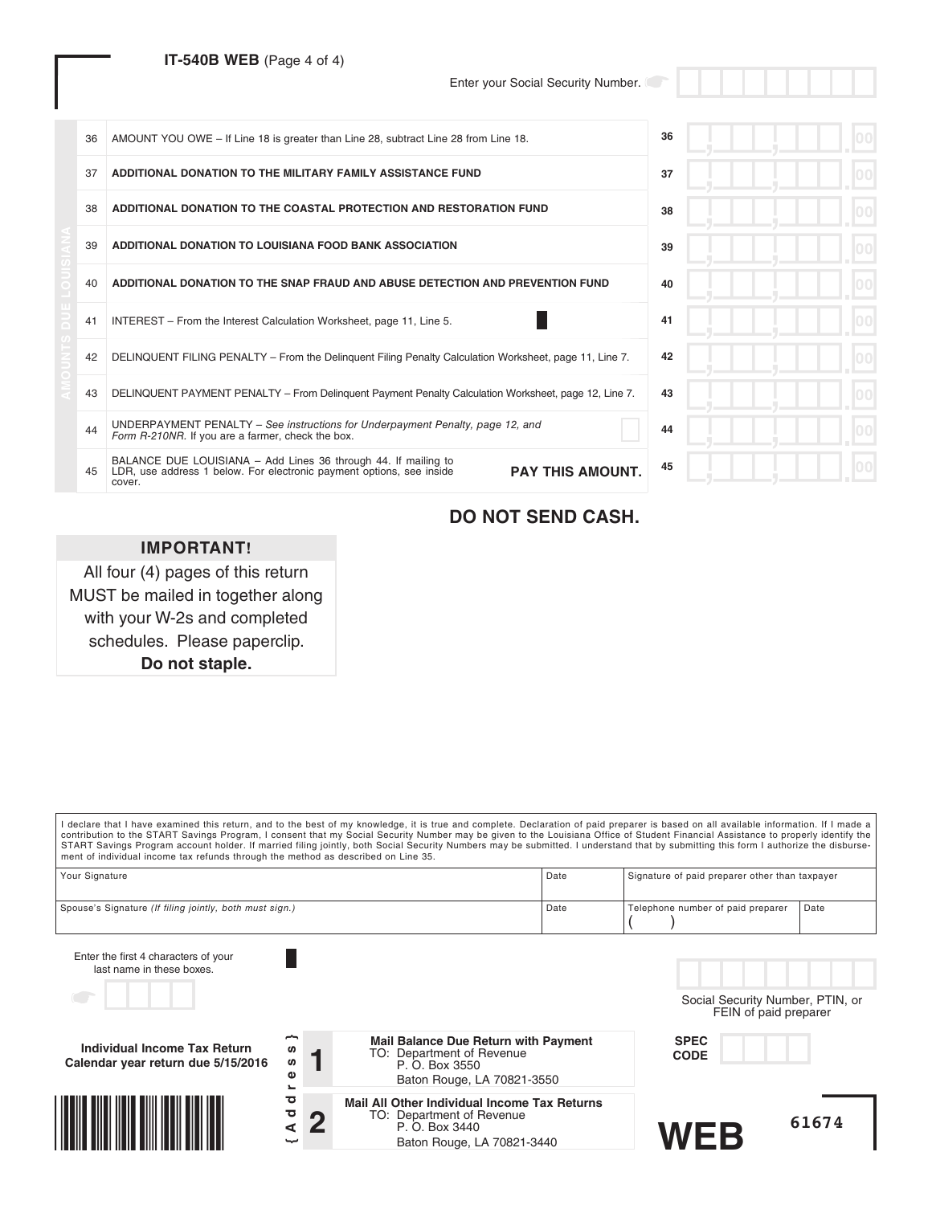## **IT-540B WEB** (Page 4 of 4)

Enter your Social Security Number.

| 36 | AMOUNT YOU OWE - If Line 18 is greater than Line 28, subtract Line 28 from Line 18.                                                                                         | 36 |  |
|----|-----------------------------------------------------------------------------------------------------------------------------------------------------------------------------|----|--|
| 37 | ADDITIONAL DONATION TO THE MILITARY FAMILY ASSISTANCE FUND                                                                                                                  | 37 |  |
| 38 | ADDITIONAL DONATION TO THE COASTAL PROTECTION AND RESTORATION FUND                                                                                                          | 38 |  |
| 39 | ADDITIONAL DONATION TO LOUISIANA FOOD BANK ASSOCIATION                                                                                                                      | 39 |  |
| 40 | ADDITIONAL DONATION TO THE SNAP FRAUD AND ABUSE DETECTION AND PREVENTION FUND                                                                                               | 40 |  |
| 41 | INTEREST – From the Interest Calculation Worksheet, page 11, Line 5.                                                                                                        | 41 |  |
| 42 | DELINQUENT FILING PENALTY – From the Delinguent Filing Penalty Calculation Worksheet, page 11, Line 7.                                                                      | 42 |  |
| 43 | DELINQUENT PAYMENT PENALTY – From Delinguent Payment Penalty Calculation Worksheet, page 12, Line 7.                                                                        | 43 |  |
| 44 | UNDERPAYMENT PENALTY - See instructions for Underpayment Penalty, page 12, and<br>Form R-210NR. If you are a farmer, check the box.                                         | 44 |  |
| 45 | BALANCE DUE LOUISIANA - Add Lines 36 through 44. If mailing to<br><b>PAY THIS AMOUNT.</b><br>LDR, use address 1 below. For electronic payment options, see inside<br>cover. | 45 |  |

# **DO NOT SEND CASH.**

# **IMPORTANT!**

All four (4) pages of this return MUST be mailed in together along with your W-2s and completed schedules. Please paperclip. **Do not staple.**

| ment of individual income tax refunds through the method as described on Line 35. |                                          | I declare that I have examined this return, and to the best of my knowledge, it is true and complete. Declaration of paid preparer is based on all available information. If I made a<br>contribution to the START Savings Program, I consent that my Social Security Number may be given to the Louisiana Office of Student Financial Assistance to properly identify the<br>START Savings Program account holder. If married filing jointly, both Social Security Numbers may be submitted. I understand that by submitting this form I authorize the disburse- |      |                                                           |  |
|-----------------------------------------------------------------------------------|------------------------------------------|-------------------------------------------------------------------------------------------------------------------------------------------------------------------------------------------------------------------------------------------------------------------------------------------------------------------------------------------------------------------------------------------------------------------------------------------------------------------------------------------------------------------------------------------------------------------|------|-----------------------------------------------------------|--|
| Your Signature                                                                    |                                          |                                                                                                                                                                                                                                                                                                                                                                                                                                                                                                                                                                   | Date | Signature of paid preparer other than taxpayer            |  |
| Spouse's Signature (If filing jointly, both must sign.)                           |                                          |                                                                                                                                                                                                                                                                                                                                                                                                                                                                                                                                                                   | Date | Telephone number of paid preparer<br>Date                 |  |
| Enter the first 4 characters of your<br>last name in these boxes.                 |                                          |                                                                                                                                                                                                                                                                                                                                                                                                                                                                                                                                                                   |      | Social Security Number, PTIN, or<br>FEIN of paid preparer |  |
| Individual Income Tax Return<br>Calendar year return due 5/15/2016                | S<br>ဖာ<br>Φ<br>$\overline{\phantom{a}}$ | <b>Mail Balance Due Return with Payment</b><br>TO: Department of Revenue<br>P. O. Box 3550<br>Baton Rouge, LA 70821-3550                                                                                                                                                                                                                                                                                                                                                                                                                                          |      | <b>SPEC</b><br><b>CODE</b>                                |  |
|                                                                                   | ਹ<br>đ<br>⋖                              | Mail All Other Individual Income Tax Returns<br>TO: Department of Revenue<br>P. O. Box 3440<br>Baton Rouge, LA 70821-3440                                                                                                                                                                                                                                                                                                                                                                                                                                         |      | 61674<br><b>WEB</b>                                       |  |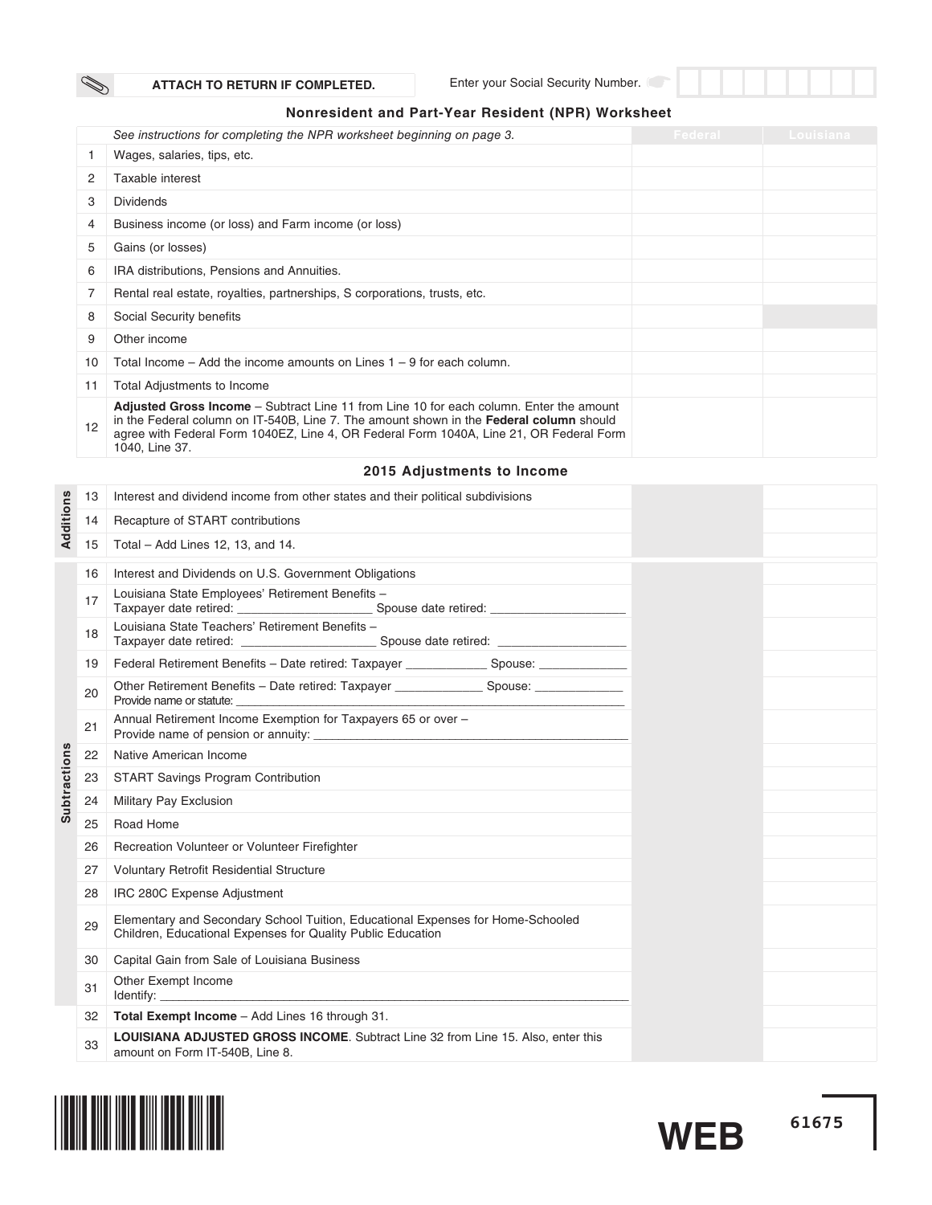$\mathbb{Z}$ 

Enter your Social Security Number.

## **Nonresident and Part-Year Resident (NPR) Worksheet**

|    | See instructions for completing the NPR worksheet beginning on page 3.                                                                                                                                                                                                                                 | Federal | Louisiana |
|----|--------------------------------------------------------------------------------------------------------------------------------------------------------------------------------------------------------------------------------------------------------------------------------------------------------|---------|-----------|
|    | Wages, salaries, tips, etc.                                                                                                                                                                                                                                                                            |         |           |
| 2  | Taxable interest                                                                                                                                                                                                                                                                                       |         |           |
| 3  | <b>Dividends</b>                                                                                                                                                                                                                                                                                       |         |           |
| 4  | Business income (or loss) and Farm income (or loss)                                                                                                                                                                                                                                                    |         |           |
| 5  | Gains (or losses)                                                                                                                                                                                                                                                                                      |         |           |
| 6  | IRA distributions, Pensions and Annuities.                                                                                                                                                                                                                                                             |         |           |
|    | Rental real estate, royalties, partnerships, S corporations, trusts, etc.                                                                                                                                                                                                                              |         |           |
| 8  | Social Security benefits                                                                                                                                                                                                                                                                               |         |           |
| 9  | Other income                                                                                                                                                                                                                                                                                           |         |           |
| 10 | Total Income $-$ Add the income amounts on Lines $1 - 9$ for each column.                                                                                                                                                                                                                              |         |           |
| 11 | Total Adjustments to Income                                                                                                                                                                                                                                                                            |         |           |
| 12 | Adjusted Gross Income – Subtract Line 11 from Line 10 for each column. Enter the amount<br>in the Federal column on IT-540B, Line 7. The amount shown in the <b>Federal column</b> should<br>agree with Federal Form 1040EZ, Line 4, OR Federal Form 1040A, Line 21, OR Federal Form<br>1040, Line 37. |         |           |

### **2015 Adjustments to Income**

|                     | 13 | Interest and dividend income from other states and their political subdivisions                                                                |
|---------------------|----|------------------------------------------------------------------------------------------------------------------------------------------------|
| Additions           | 14 | Recapture of START contributions                                                                                                               |
|                     | 15 | Total - Add Lines 12, 13, and 14.                                                                                                              |
|                     | 16 | Interest and Dividends on U.S. Government Obligations                                                                                          |
|                     | 17 | Louisiana State Employees' Retirement Benefits -                                                                                               |
|                     | 18 | Louisiana State Teachers' Retirement Benefits -                                                                                                |
|                     | 19 | Federal Retirement Benefits - Date retired: Taxpayer _______________ Spouse: _____________                                                     |
|                     | 20 | Provide name or statute:                                                                                                                       |
|                     | 21 | Annual Retirement Income Exemption for Taxpayers 65 or over -                                                                                  |
|                     | 22 | Native American Income                                                                                                                         |
|                     | 23 | <b>START Savings Program Contribution</b>                                                                                                      |
| <b>Subtractions</b> | 24 | Military Pay Exclusion                                                                                                                         |
|                     | 25 | Road Home                                                                                                                                      |
|                     | 26 | Recreation Volunteer or Volunteer Firefighter                                                                                                  |
|                     | 27 | <b>Voluntary Retrofit Residential Structure</b>                                                                                                |
|                     | 28 | IRC 280C Expense Adjustment                                                                                                                    |
|                     | 29 | Elementary and Secondary School Tuition, Educational Expenses for Home-Schooled<br>Children, Educational Expenses for Quality Public Education |
|                     | 30 | Capital Gain from Sale of Louisiana Business                                                                                                   |
|                     | 31 | Other Exempt Income                                                                                                                            |
|                     | 32 | Total Exempt Income - Add Lines 16 through 31.                                                                                                 |
|                     | 33 | <b>LOUISIANA ADJUSTED GROSS INCOME.</b> Subtract Line 32 from Line 15, Also, enter this<br>amount on Form IT-540B, Line 8.                     |

**61675**

**WEB**

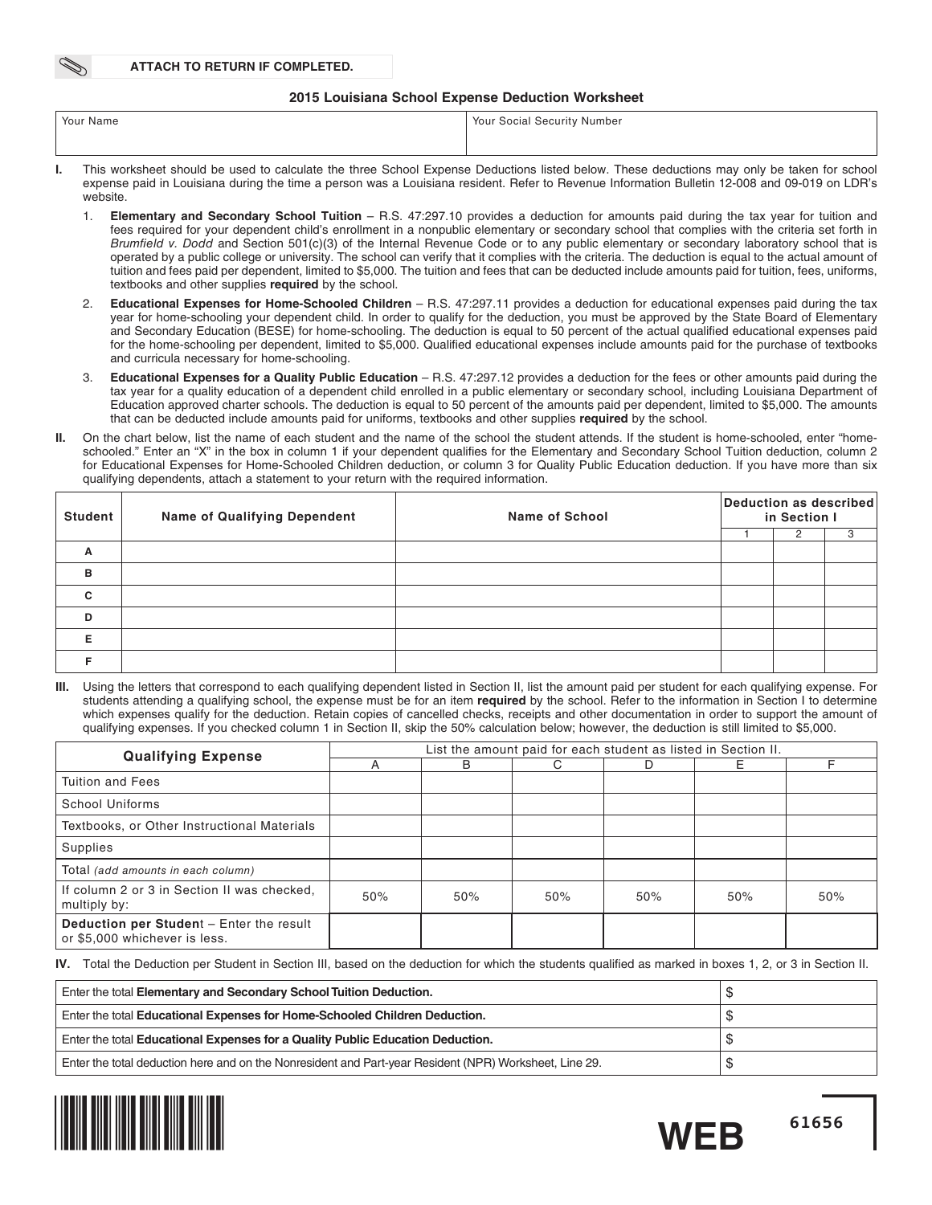#### **2015 Louisiana School Expense Deduction Worksheet**

| Your Name | Your Social Security Number                                                                                                                |
|-----------|--------------------------------------------------------------------------------------------------------------------------------------------|
|           |                                                                                                                                            |
|           | This worksheet should he used to calculate the three School Evnense Deductions listed helow. These deductions may only he taken for school |

- This worksheet should be used to calculate the three School Expense Deductions listed below. These deductions ma expense paid in Louisiana during the time a person was a Louisiana resident. Refer to Revenue Information Bulletin 12-008 and 09-019 on LDR's website.
	- 1. **Elementary and Secondary School Tuition** R.S. 47:297.10 provides a deduction for amounts paid during the tax year for tuition and fees required for your dependent child's enrollment in a nonpublic elementary or secondary school that complies with the criteria set forth in Brumfield v. Dodd and Section 501(c)(3) of the Internal Revenue Code or to any public elementary or secondary laboratory school that is operated by a public college or university. The school can verify that it complies with the criteria. The deduction is equal to the actual amount of tuition and fees paid per dependent, limited to \$5,000. The tuition and fees that can be deducted include amounts paid for tuition, fees, uniforms, textbooks and other supplies **required** by the school.
	- 2. **Educational Expenses for Home-Schooled Children** R.S. 47:297.11 provides a deduction for educational expenses paid during the tax year for home-schooling your dependent child. In order to qualify for the deduction, you must be approved by the State Board of Elementary and Secondary Education (BESE) for home-schooling. The deduction is equal to 50 percent of the actual qualified educational expenses paid for the home-schooling per dependent, limited to \$5,000. Qualified educational expenses include amounts paid for the purchase of textbooks and curricula necessary for home-schooling.
	- 3. **Educational Expenses for a Quality Public Education** R.S. 47:297.12 provides a deduction for the fees or other amounts paid during the tax year for a quality education of a dependent child enrolled in a public elementary or secondary school, including Louisiana Department of Education approved charter schools. The deduction is equal to 50 percent of the amounts paid per dependent, limited to \$5,000. The amounts that can be deducted include amounts paid for uniforms, textbooks and other supplies **required** by the school.
- **II.** On the chart below, list the name of each student and the name of the school the student attends. If the student is home-schooled, enter "homeschooled." Enter an "X" in the box in column 1 if your dependent qualifies for the Elementary and Secondary School Tuition deduction, column 2 for Educational Expenses for Home-Schooled Children deduction, or column 3 for Quality Public Education deduction. If you have more than six qualifying dependents, attach a statement to your return with the required information.

| <b>Student</b> | <b>Name of Qualifying Dependent</b> | <b>Name of School</b> | Deduction as described<br>in Section I |  |  |  |  |
|----------------|-------------------------------------|-----------------------|----------------------------------------|--|--|--|--|
|                |                                     |                       |                                        |  |  |  |  |
| A              |                                     |                       |                                        |  |  |  |  |
| B              |                                     |                       |                                        |  |  |  |  |
| $\mathbf{C}$   |                                     |                       |                                        |  |  |  |  |
| D              |                                     |                       |                                        |  |  |  |  |
| Е              |                                     |                       |                                        |  |  |  |  |
|                |                                     |                       |                                        |  |  |  |  |

Using the letters that correspond to each qualifying dependent listed in Section II, list the amount paid per student for each qualifying expense. For students attending a qualifying school, the expense must be for an item **required** by the school. Refer to the information in Section I to determine which expenses qualify for the deduction. Retain copies of cancelled checks, receipts and other documentation in order to support the amount of qualifying expenses. If you checked column 1 in Section II, skip the 50% calculation below; however, the deduction is still limited to \$5,000.

| <b>Qualifying Expense</b>                                                        |     |     |     |     | List the amount paid for each student as listed in Section II. |     |  |  |  |  |  |  |  |  |
|----------------------------------------------------------------------------------|-----|-----|-----|-----|----------------------------------------------------------------|-----|--|--|--|--|--|--|--|--|
|                                                                                  |     | B   | C.  | D   | F.                                                             |     |  |  |  |  |  |  |  |  |
| <b>Tuition and Fees</b>                                                          |     |     |     |     |                                                                |     |  |  |  |  |  |  |  |  |
| <b>School Uniforms</b>                                                           |     |     |     |     |                                                                |     |  |  |  |  |  |  |  |  |
| Textbooks, or Other Instructional Materials                                      |     |     |     |     |                                                                |     |  |  |  |  |  |  |  |  |
| Supplies                                                                         |     |     |     |     |                                                                |     |  |  |  |  |  |  |  |  |
| Total (add amounts in each column)                                               |     |     |     |     |                                                                |     |  |  |  |  |  |  |  |  |
| If column 2 or 3 in Section II was checked.<br>multiply by:                      | 50% | 50% | 50% | 50% | 50%                                                            | 50% |  |  |  |  |  |  |  |  |
| <b>Deduction per Student - Enter the result</b><br>or \$5,000 whichever is less. |     |     |     |     |                                                                |     |  |  |  |  |  |  |  |  |

**IV.** Total the Deduction per Student in Section III, based on the deduction for which the students qualified as marked in boxes 1, 2, or 3 in Section II.

| Enter the total Elementary and Secondary School Tuition Deduction.                                     |  |
|--------------------------------------------------------------------------------------------------------|--|
| Enter the total Educational Expenses for Home-Schooled Children Deduction.                             |  |
| Enter the total Educational Expenses for a Quality Public Education Deduction.                         |  |
| Enter the total deduction here and on the Nonresident and Part-year Resident (NPR) Worksheet, Line 29. |  |



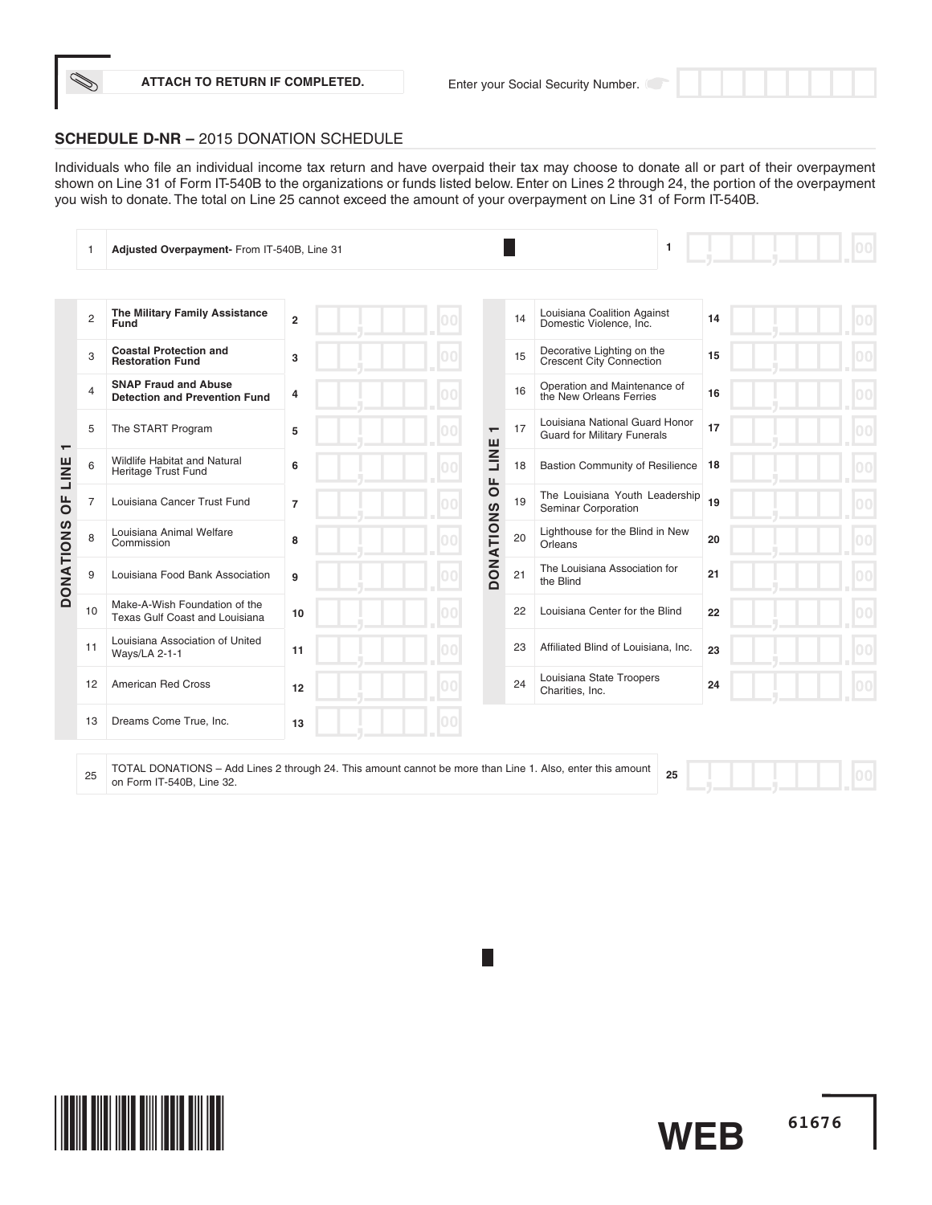

Individuals who file an individual income tax return and have overpaid their tax may choose to donate all or part of their overpayment shown on Line 31 of Form IT-540B to the organizations or funds listed below. Enter on Lines 2 through 24, the portion of the overpayment you wish to donate. The total on Line 25 cannot exceed the amount of your overpayment on Line 31 of Form IT-540B.

|                          |                | Adjusted Overpayment- From IT-540B, Line 31                         |                                                     |                          |    | 1                                                                    |    |  |
|--------------------------|----------------|---------------------------------------------------------------------|-----------------------------------------------------|--------------------------|----|----------------------------------------------------------------------|----|--|
|                          |                |                                                                     |                                                     |                          |    |                                                                      |    |  |
|                          | $\overline{c}$ | The Military Family Assistance<br>Fund                              | $\overline{2}$                                      |                          | 14 | Louisiana Coalition Against<br>Domestic Violence, Inc.               | 14 |  |
|                          | 3              | <b>Coastal Protection and</b><br><b>Restoration Fund</b>            | 3                                                   |                          | 15 | Decorative Lighting on the<br>Crescent City Connection               | 15 |  |
|                          | $\overline{4}$ | <b>SNAP Fraud and Abuse</b><br><b>Detection and Prevention Fund</b> | 4                                                   |                          | 16 | Operation and Maintenance of<br>the New Orleans Ferries              | 16 |  |
| $\overline{\phantom{0}}$ | 5              | The START Program                                                   | 5                                                   | $\overline{\phantom{0}}$ | 17 | Louisiana National Guard Honor<br><b>Guard for Military Funerals</b> | 17 |  |
| LINE                     | 6              | <b>Wildlife Habitat and Natural</b><br>Heritage Trust Fund          | 6                                                   | LINE<br>Щ                | 18 | <b>Bastion Community of Resilience</b>                               | 18 |  |
| $\overline{0}$           | $\overline{7}$ | Louisiana Cancer Trust Fund                                         | $\overline{7}$                                      | $\overline{\circ}$       | 19 | The Louisiana Youth Leadership<br>Seminar Corporation                | 19 |  |
|                          | 8              | Louisiana Animal Welfare<br>Commission                              | 8                                                   | <b>DONATIONS</b>         | 20 | Lighthouse for the Blind in New<br>Orleans                           | 20 |  |
| <b>DONATIONS</b>         | 9              | Louisiana Food Bank Association                                     | 9                                                   |                          | 21 | The Louisiana Association for<br>the Blind                           | 21 |  |
|                          | 10             | Make-A-Wish Foundation of the<br>Texas Gulf Coast and Louisiana     | 10                                                  |                          | 22 | Louisiana Center for the Blind                                       | 22 |  |
|                          | 11             | Louisiana Association of United<br>Ways/LA 2-1-1                    | 11                                                  |                          | 23 | Affiliated Blind of Louisiana, Inc.                                  | 23 |  |
|                          | 12             | <b>American Red Cross</b>                                           | 12                                                  |                          | 24 | Louisiana State Troopers<br>Charities, Inc.                          | 24 |  |
|                          | 13             | Dreams Come True, Inc.                                              | 13                                                  |                          |    |                                                                      |    |  |
|                          |                | TOTAL DOMATIONS                                                     | $\mathbf{1}$ $\mathbf{0}$ $\mathbf{1}$ $\mathbf{1}$ |                          |    |                                                                      |    |  |

<sup>25</sup> TOTAL DONATIONS – Add Lines 2 through 24. This amount cannot be more than Line 1. Also, enter this amount on Form IT-540B, Line 32. **<sup>25</sup>**

 $|00|$ 

**61676**

**WEB**

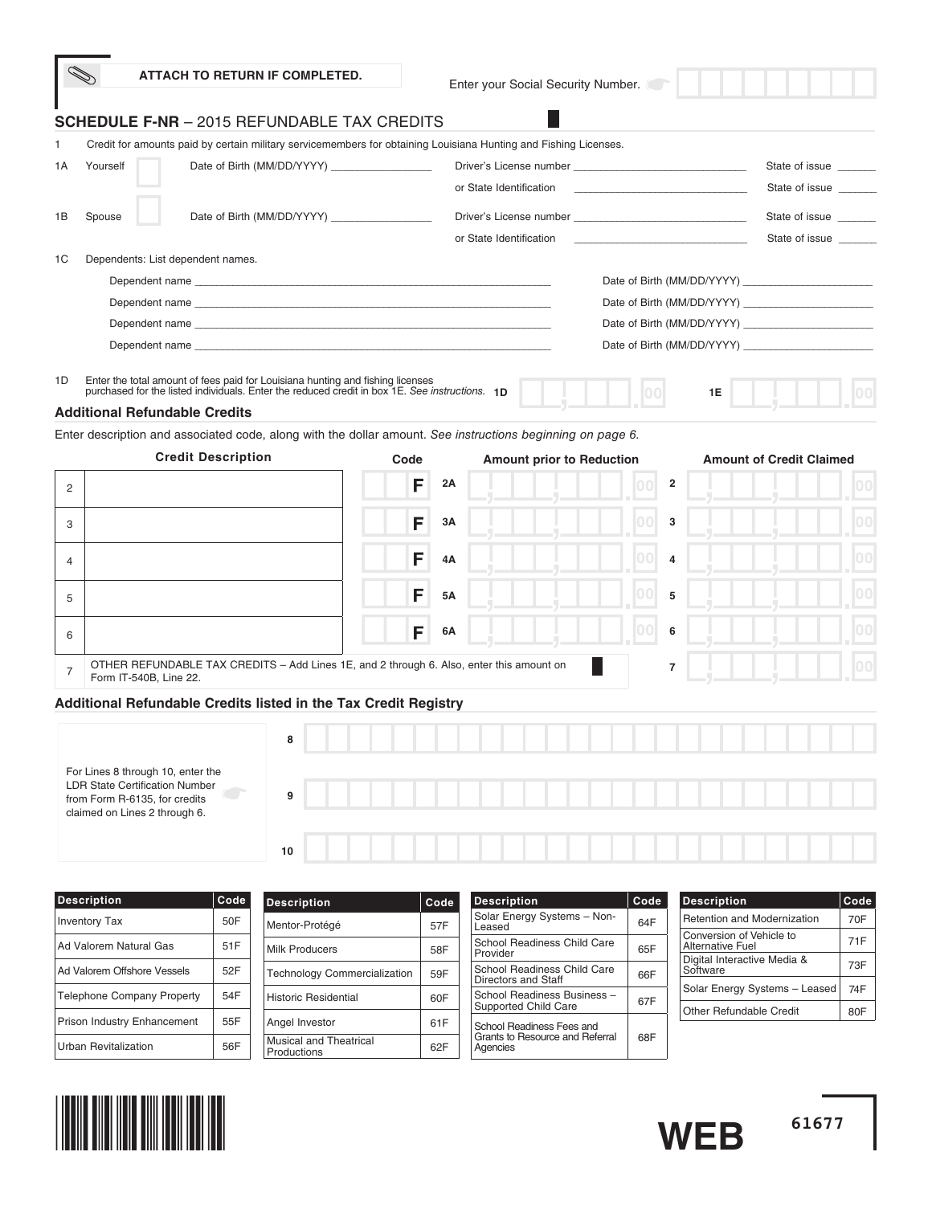|    | ATTACH TO RETURN IF COMPLETED.                                                                                                                                                                                                |   |      |    | Enter your Social Security Number. |                                                                 |    |                                 |                 |
|----|-------------------------------------------------------------------------------------------------------------------------------------------------------------------------------------------------------------------------------|---|------|----|------------------------------------|-----------------------------------------------------------------|----|---------------------------------|-----------------|
|    | <b>SCHEDULE F-NR</b> - 2015 REFUNDABLE TAX CREDITS                                                                                                                                                                            |   |      |    |                                    |                                                                 |    |                                 |                 |
| 1  | Credit for amounts paid by certain military servicemembers for obtaining Louisiana Hunting and Fishing Licenses.                                                                                                              |   |      |    |                                    |                                                                 |    |                                 |                 |
| 1A | Yourself                                                                                                                                                                                                                      |   |      |    |                                    |                                                                 |    | State of issue                  |                 |
|    |                                                                                                                                                                                                                               |   |      |    | or State Identification            | the control of the control of the control of the control of the |    | State of issue                  |                 |
| 1B | Spouse                                                                                                                                                                                                                        |   |      |    |                                    |                                                                 |    | State of issue                  |                 |
|    |                                                                                                                                                                                                                               |   |      |    | or State Identification            | the control of the control of the control of the control of the |    | State of issue                  |                 |
| 1C | Dependents: List dependent names.                                                                                                                                                                                             |   |      |    |                                    |                                                                 |    |                                 |                 |
|    | Dependent name experience and the contract of the contract of the contract of the contract of the contract of the contract of the contract of the contract of the contract of the contract of the contract of the contract of |   |      |    |                                    |                                                                 |    |                                 |                 |
|    |                                                                                                                                                                                                                               |   |      |    |                                    |                                                                 |    |                                 |                 |
|    |                                                                                                                                                                                                                               |   |      |    |                                    |                                                                 |    |                                 |                 |
|    |                                                                                                                                                                                                                               |   |      |    |                                    |                                                                 |    |                                 |                 |
| 1D | Enter the total amount of fees paid for Louisiana hunting and fishing licenses                                                                                                                                                |   |      |    |                                    |                                                                 |    |                                 |                 |
|    | purchased for the listed individuals. Enter the reduced credit in box 1E. See instructions. 1D                                                                                                                                |   |      |    |                                    |                                                                 | 1E |                                 |                 |
|    | <b>Additional Refundable Credits</b><br>Enter description and associated code, along with the dollar amount. See instructions beginning on page 6.                                                                            |   |      |    |                                    |                                                                 |    |                                 |                 |
|    | <b>Credit Description</b>                                                                                                                                                                                                     |   | Code |    | <b>Amount prior to Reduction</b>   |                                                                 |    | <b>Amount of Credit Claimed</b> |                 |
|    |                                                                                                                                                                                                                               |   |      |    |                                    | 2                                                               |    |                                 |                 |
| 2  |                                                                                                                                                                                                                               |   | F    | 2Α |                                    | 100                                                             |    |                                 |                 |
| 3  |                                                                                                                                                                                                                               |   | F    | ЗΑ |                                    | 00<br>3                                                         |    |                                 | 00 <sub>1</sub> |
|    |                                                                                                                                                                                                                               |   |      |    |                                    |                                                                 |    |                                 |                 |
| 4  |                                                                                                                                                                                                                               |   | F    | 4A |                                    | 000<br>4                                                        |    |                                 | 00              |
|    |                                                                                                                                                                                                                               |   | F    | 5Α |                                    | 100<br>5                                                        |    |                                 | 00              |
| 5  |                                                                                                                                                                                                                               |   |      |    |                                    |                                                                 |    |                                 |                 |
|    |                                                                                                                                                                                                                               |   |      |    |                                    |                                                                 |    |                                 |                 |
| 6  |                                                                                                                                                                                                                               |   | F    | 6А |                                    | 100<br>6                                                        |    |                                 | 00              |
|    | OTHER REFUNDABLE TAX CREDITS - Add Lines 1E, and 2 through 6. Also, enter this amount on                                                                                                                                      |   |      |    |                                    | 7                                                               |    |                                 | 00              |
| 7  | Form IT-540B, Line 22.                                                                                                                                                                                                        |   |      |    |                                    |                                                                 |    |                                 |                 |
|    | Additional Refundable Credits listed in the Tax Credit Registry                                                                                                                                                               |   |      |    |                                    |                                                                 |    |                                 |                 |
|    |                                                                                                                                                                                                                               |   |      |    |                                    |                                                                 |    |                                 |                 |
|    |                                                                                                                                                                                                                               | 8 |      |    |                                    |                                                                 |    |                                 |                 |
|    | For Lines 8 through 10, enter the                                                                                                                                                                                             |   |      |    |                                    |                                                                 |    |                                 |                 |
|    | <b>LDR State Certification Number</b><br>from Form R-6135, for credits                                                                                                                                                        | 9 |      |    |                                    |                                                                 |    |                                 |                 |
|    | claimed on Lines 2 through 6.                                                                                                                                                                                                 |   |      |    |                                    |                                                                 |    |                                 |                 |

| <b>Description</b>                | Code | <b>Description</b>                           | Code<br><b>Description</b><br><b>Description</b><br>Code |                                             |     | $ $ Code                                            |     |
|-----------------------------------|------|----------------------------------------------|----------------------------------------------------------|---------------------------------------------|-----|-----------------------------------------------------|-----|
| <b>Inventory Tax</b>              | 50F  | Mentor-Protégé                               | 57F                                                      | Solar Energy Systems - Non-<br>Leased       | 64F | <b>Retention and Modernization</b>                  | 70F |
| Ad Valorem Natural Gas            | 51F  | <b>Milk Producers</b>                        | 58F                                                      | School Readiness Child Care                 | 65F | Conversion of Vehicle to<br><b>Alternative Fuel</b> | 71F |
| Ad Valorem Offshore Vessels       | 52F  |                                              |                                                          | Provider<br>School Readiness Child Care     |     | Digital Interactive Media &<br>Software             | 73F |
|                                   |      | <b>Technology Commercialization</b>          | 59F                                                      | Directors and Staff                         | 66F |                                                     | 74F |
| <b>Telephone Company Property</b> | 54F  | Historic Residential                         | 60F                                                      | School Readiness Business -                 | 67F | Solar Energy Systems - Leased                       |     |
| Prison Industry Enhancement       | 55F  |                                              |                                                          | Supported Child Care                        |     | <b>Other Refundable Credit</b>                      | 80F |
|                                   |      | Angel Investor                               | 61F                                                      | School Readiness Fees and                   |     |                                                     |     |
| Urban Revitalization              | 56F  | <b>Musical and Theatrical</b><br>Productions | 62F                                                      | Grants to Resource and Referral<br>Agencies | 68F |                                                     |     |



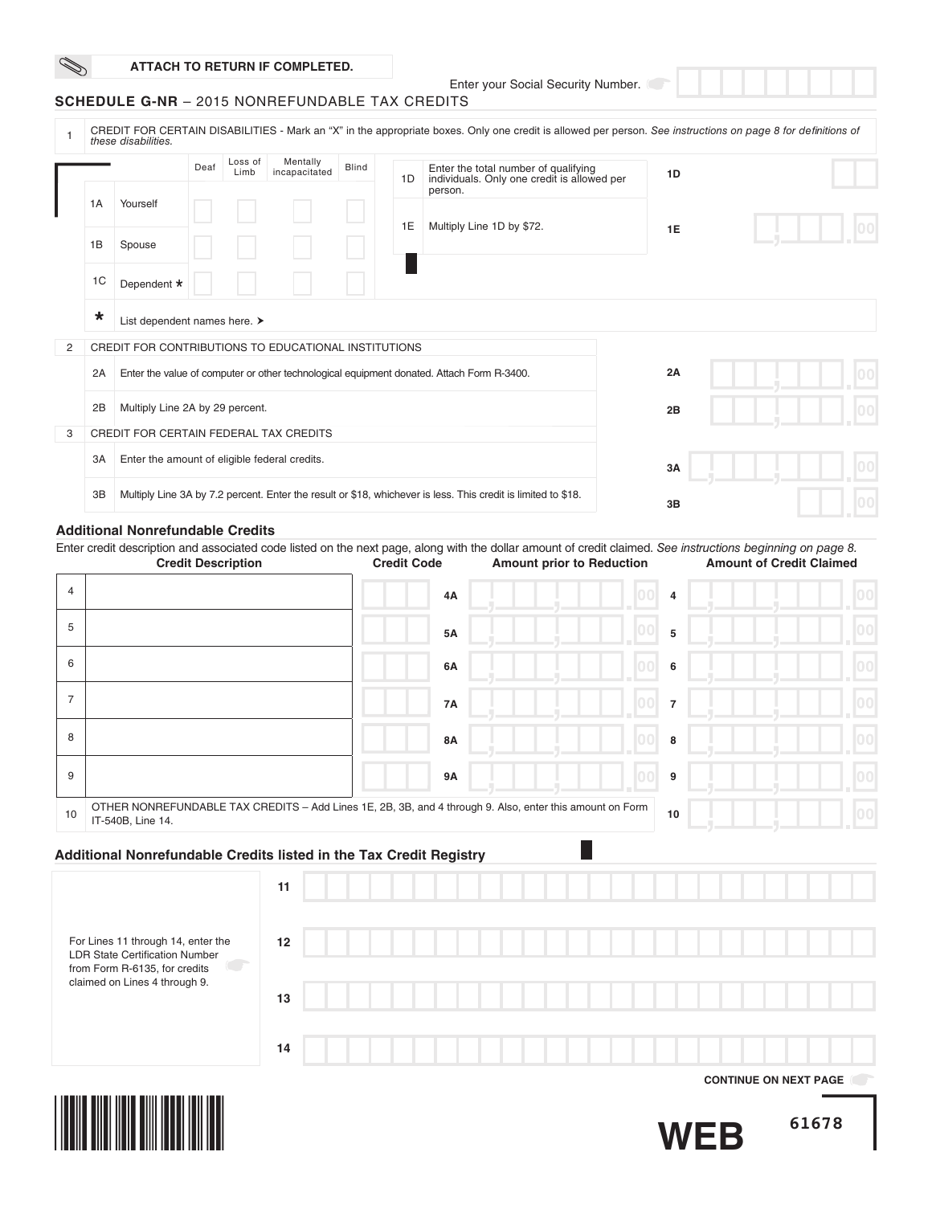Enter your Social Security Number.

## **SCHEDULE G-NR** – 2015 NONREFUNDABLE TAX CREDITS

|                |                |                                                      | Deaf | Loss of                   | Mentally                                                                                                      | <b>Blind</b> |                    |         | Enter the total number of qualifying |                                                                                                                                                                                                 |    |                                 |  |
|----------------|----------------|------------------------------------------------------|------|---------------------------|---------------------------------------------------------------------------------------------------------------|--------------|--------------------|---------|--------------------------------------|-------------------------------------------------------------------------------------------------------------------------------------------------------------------------------------------------|----|---------------------------------|--|
|                |                |                                                      |      | Limb                      | incapacitated                                                                                                 |              | 1D.                | person. |                                      | individuals. Only one credit is allowed per                                                                                                                                                     | 1D |                                 |  |
|                | 1A             | Yourself                                             |      |                           |                                                                                                               |              | 1E                 |         | Multiply Line 1D by \$72.            |                                                                                                                                                                                                 |    |                                 |  |
|                | 1B             | Spouse                                               |      |                           |                                                                                                               |              |                    |         |                                      |                                                                                                                                                                                                 | 1E |                                 |  |
|                | 1 <sup>C</sup> | Dependent *                                          |      |                           |                                                                                                               |              |                    |         |                                      |                                                                                                                                                                                                 |    |                                 |  |
|                | $\ast$         | List dependent names here. >                         |      |                           |                                                                                                               |              |                    |         |                                      |                                                                                                                                                                                                 |    |                                 |  |
| 2              |                | CREDIT FOR CONTRIBUTIONS TO EDUCATIONAL INSTITUTIONS |      |                           |                                                                                                               |              |                    |         |                                      |                                                                                                                                                                                                 |    |                                 |  |
|                | 2A             |                                                      |      |                           | Enter the value of computer or other technological equipment donated. Attach Form R-3400.                     |              |                    |         |                                      |                                                                                                                                                                                                 | 2A |                                 |  |
|                | 2B             | Multiply Line 2A by 29 percent.                      |      |                           |                                                                                                               |              |                    |         |                                      |                                                                                                                                                                                                 | 2B |                                 |  |
| 3              |                | CREDIT FOR CERTAIN FEDERAL TAX CREDITS               |      |                           |                                                                                                               |              |                    |         |                                      |                                                                                                                                                                                                 |    |                                 |  |
|                | 3A             | Enter the amount of eligible federal credits.        |      |                           |                                                                                                               |              |                    |         |                                      |                                                                                                                                                                                                 | 3A |                                 |  |
|                | 3B             |                                                      |      |                           | Multiply Line 3A by 7.2 percent. Enter the result or \$18, whichever is less. This credit is limited to \$18. |              |                    |         |                                      |                                                                                                                                                                                                 | 3B |                                 |  |
|                |                | <b>Additional Nonrefundable Credits</b>              |      |                           |                                                                                                               |              |                    |         |                                      |                                                                                                                                                                                                 |    |                                 |  |
|                |                |                                                      |      | <b>Credit Description</b> |                                                                                                               |              | <b>Credit Code</b> |         |                                      | Enter credit description and associated code listed on the next page, along with the dollar amount of credit claimed. See instructions beginning on page 8.<br><b>Amount prior to Reduction</b> |    | <b>Amount of Credit Claimed</b> |  |
|                |                |                                                      |      |                           |                                                                                                               |              |                    |         |                                      |                                                                                                                                                                                                 |    |                                 |  |
| $\overline{4}$ |                |                                                      |      |                           |                                                                                                               |              |                    | 4A      |                                      |                                                                                                                                                                                                 | 4  |                                 |  |

| 4  |                                                                                                                               | 4A        | 4                     |  |
|----|-------------------------------------------------------------------------------------------------------------------------------|-----------|-----------------------|--|
| 5  |                                                                                                                               | <b>5A</b> | 100<br>5              |  |
| 6  |                                                                                                                               | 6A        | 100<br>6              |  |
|    |                                                                                                                               | <b>7A</b> | 00 <br>$\overline{7}$ |  |
| 8  |                                                                                                                               | <b>8A</b> | 00 <br>8              |  |
| 9  |                                                                                                                               | <b>9A</b> | 9                     |  |
| 10 | OTHER NONREFUNDABLE TAX CREDITS - Add Lines 1E, 2B, 3B, and 4 through 9. Also, enter this amount on Form<br>IT-540B, Line 14. |           | 10                    |  |

# **Additional Nonrefundable Credits listed in the Tax Credit Registry**

|                                                                      | 11 |  |  |  |  |  |  |  |  |  |  |  |  |                              |  |
|----------------------------------------------------------------------|----|--|--|--|--|--|--|--|--|--|--|--|--|------------------------------|--|
| For Lines 11 through 14, enter the<br>LDR State Certification Number | 12 |  |  |  |  |  |  |  |  |  |  |  |  |                              |  |
| from Form R-6135, for credits<br>claimed on Lines 4 through 9.       | 13 |  |  |  |  |  |  |  |  |  |  |  |  |                              |  |
|                                                                      | 14 |  |  |  |  |  |  |  |  |  |  |  |  |                              |  |
|                                                                      |    |  |  |  |  |  |  |  |  |  |  |  |  | <b>CONTINUE ON NEXT PAGE</b> |  |

П



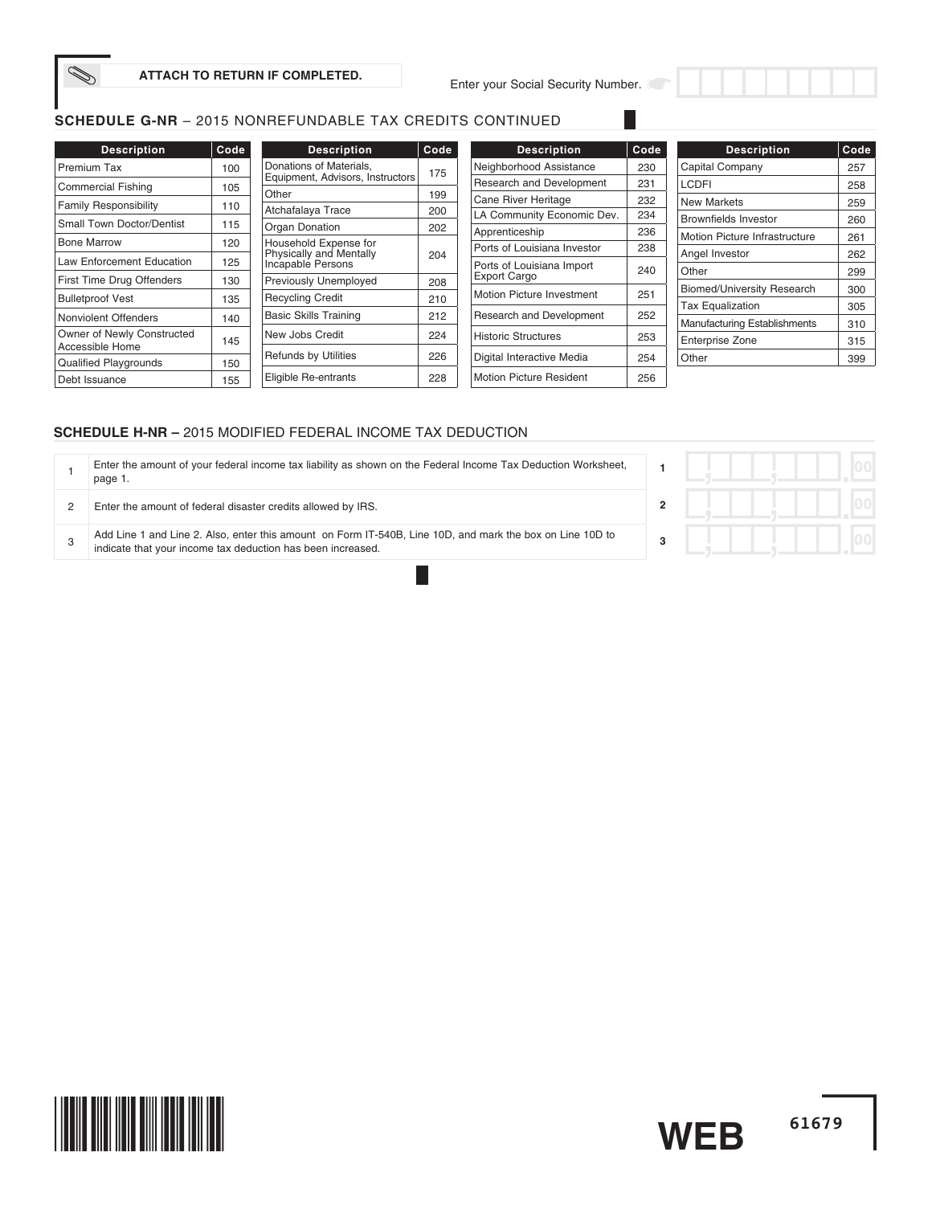

Enter your Social Security Number.

# **SCHEDULE G-NR** – 2015 NONREFUNDABLE TAX CREDITS CONTINUED

| <b>Description</b>               | Code |                  |
|----------------------------------|------|------------------|
| <b>Premium Tax</b>               | 100  | Donati<br>Equipr |
| <b>Commercial Fishing</b>        | 105  | Other            |
| <b>Family Responsibility</b>     | 110  | Atchat           |
| <b>Small Town Doctor/Dentist</b> | 115  | Organ            |
| <b>Bone Marrow</b>               | 120  | House            |
| <b>Law Enforcement Education</b> | 125  | Physic<br>Incapa |
| First Time Drug Offenders        | 130  | Previo           |
| <b>Bulletproof Vest</b>          | 135  | Recyc            |
| Nonviolent Offenders             | 140  | Basic            |
| Owner of Newly Constructed       | 145  | New J            |
| Accessible Home                  |      | Refun            |
| <b>Qualified Playgrounds</b>     | 150  |                  |
| Debt Issuance                    | 155  | Eligible         |

| <b>Description</b>                                                           | Code |
|------------------------------------------------------------------------------|------|
| Donations of Materials,<br>Equipment, Advisors, Instructors                  | 175  |
| Other                                                                        | 199  |
| Atchafalaya Trace                                                            | 200  |
| Organ Donation                                                               | 202  |
| Household Expense for<br>Physically and Mentally<br><b>Incapable Persons</b> | 204  |
| <b>Previously Unemployed</b>                                                 | 208  |
| Recycling Credit                                                             | 210  |
| <b>Basic Skills Training</b>                                                 | 212  |
| New Jobs Credit                                                              | 224  |
| <b>Refunds by Utilities</b>                                                  | 226  |
| Eligible Re-entrants                                                         | 228  |

| <b>Description</b>                               | Code |
|--------------------------------------------------|------|
| Neighborhood Assistance                          | 230  |
| <b>Research and Development</b>                  | 231  |
| Cane River Heritage                              | 232  |
| LA Community Economic Dev.                       | 234  |
| Apprenticeship                                   | 236  |
| Ports of Louisiana Investor                      | 238  |
| Ports of Louisiana Import<br><b>Export Cargo</b> | 240  |
| Motion Picture Investment                        | 251  |
| Research and Development                         | 252  |
| <b>Historic Structures</b>                       | 253  |
| Digital Interactive Media                        | 254  |
| Motion Picture Resident                          | 256  |

| <b>Description</b>                | Code |
|-----------------------------------|------|
| Capital Company                   | 257  |
| LCDFI                             | 258  |
| <b>New Markets</b>                | 259  |
| <b>Brownfields Investor</b>       | 260  |
| Motion Picture Infrastructure     | 261  |
| Angel Investor                    | 262  |
| Other                             | 299  |
| <b>Biomed/University Research</b> | 300  |
| <b>Tax Equalization</b>           | 305  |
| Manufacturing Establishments      | 310  |
| <b>Enterprise Zone</b>            | 315  |
| Other                             | 399  |

## **SCHEDULE H-NR –** 2015 MODIFIED FEDERAL INCOME TAX DEDUCTION

|   | Enter the amount of your federal income tax liability as shown on the Federal Income Tax Deduction Worksheet,<br>page 1.                                                 |  |
|---|--------------------------------------------------------------------------------------------------------------------------------------------------------------------------|--|
|   | Enter the amount of federal disaster credits allowed by IRS.                                                                                                             |  |
| 3 | Add Line 1 and Line 2. Also, enter this amount on Form IT-540B, Line 10D, and mark the box on Line 10D to<br>indicate that your income tax deduction has been increased. |  |

H

|  |   |  | r |
|--|---|--|---|
|  | J |  | п |
|  | 7 |  | m |

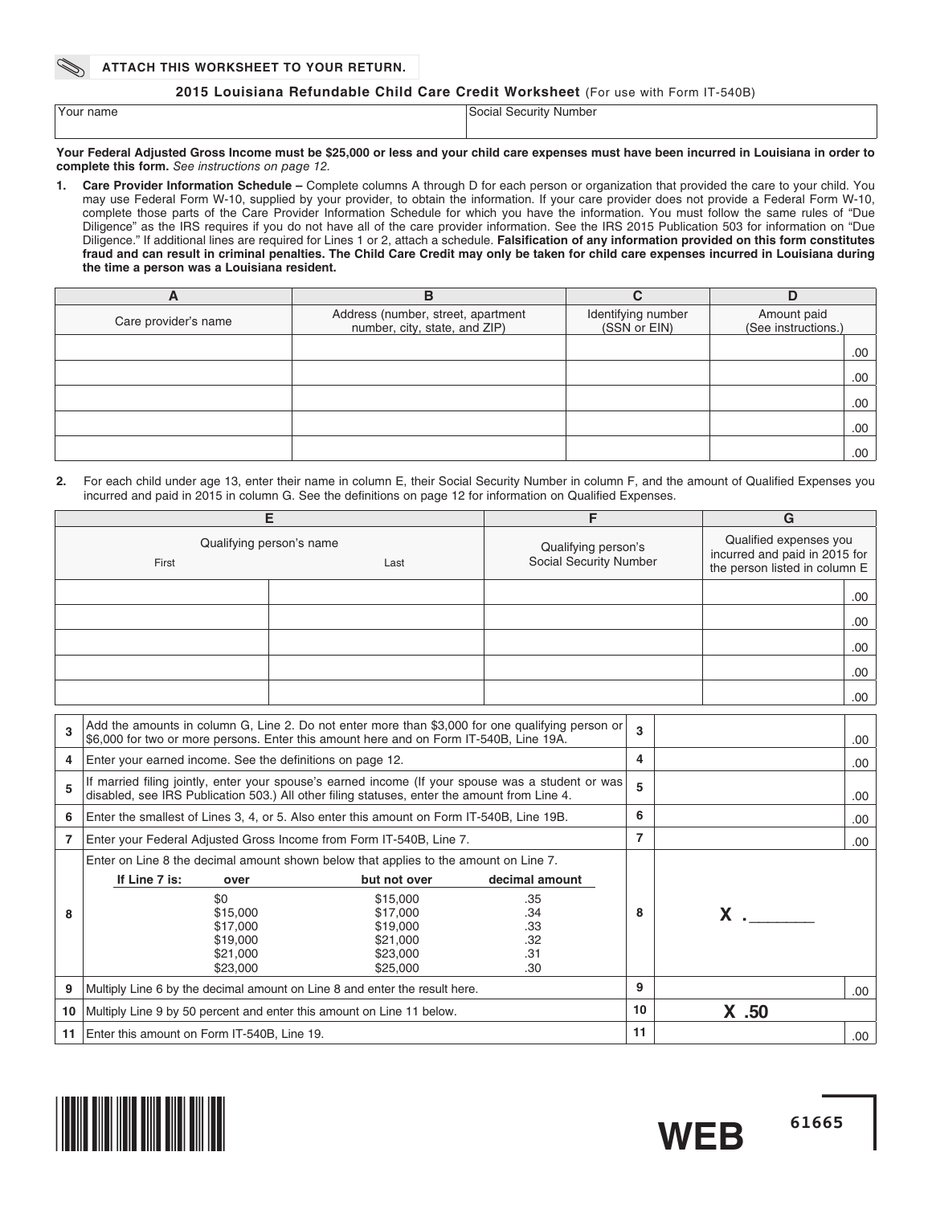#### **ATTACH THIS WORKSHEET TO YOUR RETURN.**

#### **2015 Louisiana Refundable Child Care Credit Worksheet** (For use with Form IT-540B)

| Your name | Social Security Number |
|-----------|------------------------|
|           |                        |

#### **Your Federal Adjusted Gross Income must be \$25,000 or less and your child care expenses must have been incurred in Louisiana in order to complete this form.** See instructions on page 12.

**1. Care Provider Information Schedule –** Complete columns A through D for each person or organization that provided the care to your child. You may use Federal Form W-10, supplied by your provider, to obtain the information. If your care provider does not provide a Federal Form W-10, complete those parts of the Care Provider Information Schedule for which you have the information. You must follow the same rules of "Due Diligence" as the IRS requires if you do not have all of the care provider information. See the IRS 2015 Publication 503 for information on "Due Diligence." If additional lines are required for Lines 1 or 2, attach a schedule. Falsification of any information provided on this form constitutes **fraud and can result in criminal penalties. The Child Care Credit may only be taken for child care expenses incurred in Louisiana during the time a person was a Louisiana resident.** 

| ∽                    | В                                                                   |                                    |                                    |
|----------------------|---------------------------------------------------------------------|------------------------------------|------------------------------------|
| Care provider's name | Address (number, street, apartment<br>number, city, state, and ZIP) | Identifying number<br>(SSN or EIN) | Amount paid<br>(See instructions.) |
|                      |                                                                     |                                    | .00                                |
|                      |                                                                     |                                    | .00                                |
|                      |                                                                     |                                    | .00                                |
|                      |                                                                     |                                    | .00                                |
|                      |                                                                     |                                    | .00                                |

**2.** For each child under age 13, enter their name in column E, their Social Security Number in column F, and the amount of Qualified Expenses you incurred and paid in 2015 in column G. See the definitions on page 12 for information on Qualified Expenses.

|    |                                                                                                                                                                                                   | Е                                                                                                                                                                                          | F              |                                                                                          | G        |      |
|----|---------------------------------------------------------------------------------------------------------------------------------------------------------------------------------------------------|--------------------------------------------------------------------------------------------------------------------------------------------------------------------------------------------|----------------|------------------------------------------------------------------------------------------|----------|------|
|    | Qualifying person's name<br>First                                                                                                                                                                 | Qualifying person's<br>Social Security Number                                                                                                                                              |                | Qualified expenses you<br>incurred and paid in 2015 for<br>the person listed in column E |          |      |
|    |                                                                                                                                                                                                   |                                                                                                                                                                                            |                |                                                                                          |          | .00. |
|    |                                                                                                                                                                                                   |                                                                                                                                                                                            |                |                                                                                          |          | .00. |
|    |                                                                                                                                                                                                   |                                                                                                                                                                                            |                |                                                                                          |          | .00. |
|    |                                                                                                                                                                                                   |                                                                                                                                                                                            |                |                                                                                          |          | .00. |
|    |                                                                                                                                                                                                   |                                                                                                                                                                                            |                |                                                                                          |          | .00. |
| 3  |                                                                                                                                                                                                   | Add the amounts in column G, Line 2. Do not enter more than \$3,000 for one qualifying person or<br>\$6,000 for two or more persons. Enter this amount here and on Form IT-540B, Line 19A. |                | 3                                                                                        |          | .00. |
| 4  | Enter your earned income. See the definitions on page 12.                                                                                                                                         | 4                                                                                                                                                                                          |                | .00.                                                                                     |          |      |
| 5  | If married filing jointly, enter your spouse's earned income (If your spouse was a student or was<br>disabled, see IRS Publication 503.) All other filing statuses, enter the amount from Line 4. |                                                                                                                                                                                            |                |                                                                                          |          | .00. |
| 6  | Enter the smallest of Lines 3, 4, or 5. Also enter this amount on Form IT-540B, Line 19B.                                                                                                         |                                                                                                                                                                                            |                |                                                                                          |          | .00  |
| 7  |                                                                                                                                                                                                   | Enter your Federal Adjusted Gross Income from Form IT-540B, Line 7.                                                                                                                        |                | $\overline{7}$                                                                           |          | .00  |
|    |                                                                                                                                                                                                   | Enter on Line 8 the decimal amount shown below that applies to the amount on Line 7.                                                                                                       |                |                                                                                          |          |      |
|    | If Line 7 is:<br>over                                                                                                                                                                             | but not over                                                                                                                                                                               | decimal amount |                                                                                          |          |      |
|    | \$0                                                                                                                                                                                               | \$15,000                                                                                                                                                                                   | .35            |                                                                                          |          |      |
| 8  | \$15,000                                                                                                                                                                                          | \$17,000                                                                                                                                                                                   | .34            | 8                                                                                        | $x \sim$ |      |
|    | \$17,000                                                                                                                                                                                          | \$19,000                                                                                                                                                                                   | .33            |                                                                                          |          |      |
|    | \$19,000<br>\$21.000                                                                                                                                                                              | \$21,000<br>\$23,000                                                                                                                                                                       | .32<br>.31     |                                                                                          |          |      |
|    | \$23,000                                                                                                                                                                                          | \$25,000                                                                                                                                                                                   | .30            |                                                                                          |          |      |
| 9  |                                                                                                                                                                                                   | Multiply Line 6 by the decimal amount on Line 8 and enter the result here.                                                                                                                 |                | 9                                                                                        |          | .00. |
| 10 |                                                                                                                                                                                                   | Multiply Line 9 by 50 percent and enter this amount on Line 11 below.                                                                                                                      |                | 10                                                                                       | $X$ .50  |      |
| 11 | Enter this amount on Form IT-540B, Line 19.                                                                                                                                                       |                                                                                                                                                                                            |                |                                                                                          |          | .00. |

**61665**

**WEB**